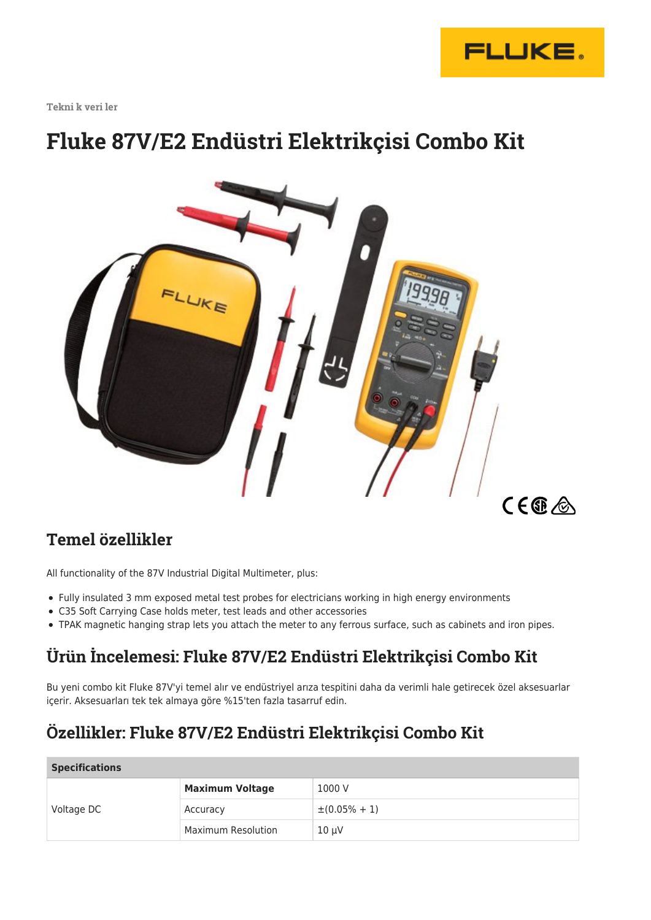

**Tekni̇k veri̇ler**

# **Fluke 87V/E2 Endüstri Elektrikçisi Combo Kit**



### **Temel özellikler**

All functionality of the 87V Industrial Digital Multimeter, plus:

- Fully insulated 3 mm exposed metal test probes for electricians working in high energy environments
- C35 Soft Carrying Case holds meter, test leads and other accessories
- TPAK magnetic hanging strap lets you attach the meter to any ferrous surface, such as cabinets and iron pipes.

## **Ürün İncelemesi: Fluke 87V/E2 Endüstri Elektrikçisi Combo Kit**

Bu yeni combo kit Fluke 87V'yi temel alır ve endüstriyel arıza tespitini daha da verimli hale getirecek özel aksesuarlar içerir. Aksesuarları tek tek almaya göre %15'ten fazla tasarruf edin.

# **Özellikler: Fluke 87V/E2 Endüstri Elektrikçisi Combo Kit**

#### **Specifications**

| Voltage DC | <b>Maximum Voltage</b> | 1000 V             |  |
|------------|------------------------|--------------------|--|
|            | Accuracy               | $\pm (0.05\% + 1)$ |  |
|            | Maximum Resolution     | $10 \mu V$         |  |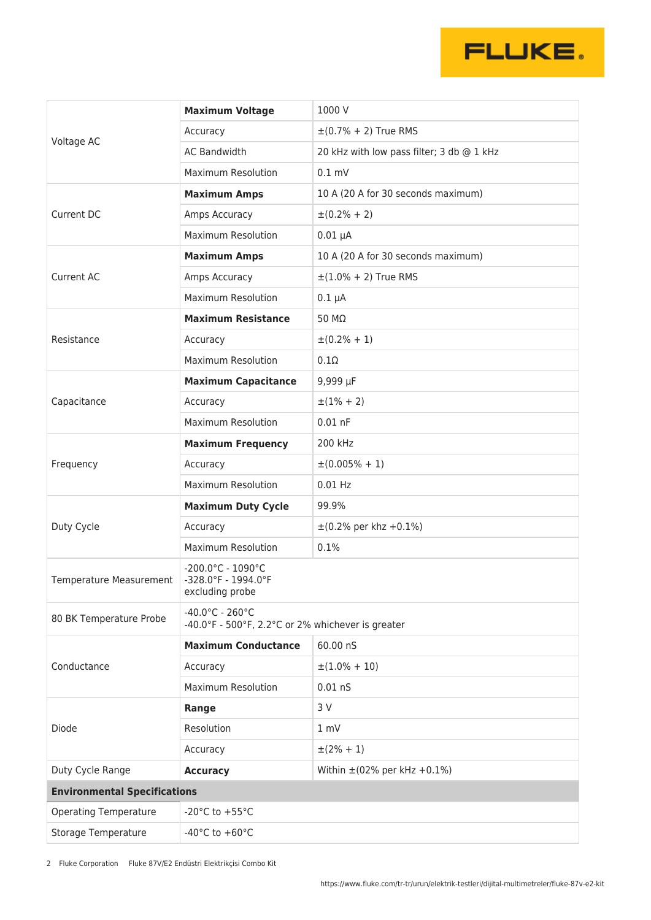

| Voltage AC                          | <b>Maximum Voltage</b>                                                                    | 1000 V                                    |  |
|-------------------------------------|-------------------------------------------------------------------------------------------|-------------------------------------------|--|
|                                     | Accuracy                                                                                  | $\pm (0.7\% + 2)$ True RMS                |  |
|                                     | <b>AC Bandwidth</b>                                                                       | 20 kHz with low pass filter; 3 db @ 1 kHz |  |
|                                     | <b>Maximum Resolution</b>                                                                 | $0.1$ mV                                  |  |
| Current DC                          | <b>Maximum Amps</b>                                                                       | 10 A (20 A for 30 seconds maximum)        |  |
|                                     | Amps Accuracy                                                                             | $\pm (0.2\% + 2)$                         |  |
|                                     | <b>Maximum Resolution</b>                                                                 | $0.01 \mu A$                              |  |
| <b>Current AC</b>                   | <b>Maximum Amps</b>                                                                       | 10 A (20 A for 30 seconds maximum)        |  |
|                                     | Amps Accuracy                                                                             | $\pm (1.0\% + 2)$ True RMS                |  |
|                                     | <b>Maximum Resolution</b>                                                                 | $0.1 \mu A$                               |  |
| Resistance                          | <b>Maximum Resistance</b>                                                                 | 50 MΩ                                     |  |
|                                     | Accuracy                                                                                  | $\pm (0.2\% + 1)$                         |  |
|                                     | <b>Maximum Resolution</b>                                                                 | $0.1\Omega$                               |  |
|                                     | <b>Maximum Capacitance</b>                                                                | 9,999 $\mu$ F                             |  |
| Capacitance                         | Accuracy                                                                                  | $\pm(1\% + 2)$                            |  |
|                                     | <b>Maximum Resolution</b>                                                                 | $0.01$ nF                                 |  |
| Frequency                           | <b>Maximum Frequency</b>                                                                  | 200 kHz                                   |  |
|                                     | Accuracy                                                                                  | $\pm (0.005\% + 1)$                       |  |
|                                     | <b>Maximum Resolution</b>                                                                 | $0.01$ Hz                                 |  |
| Duty Cycle                          | <b>Maximum Duty Cycle</b>                                                                 | 99.9%                                     |  |
|                                     | Accuracy                                                                                  | $\pm (0.2\%$ per khz $+0.1\%)$            |  |
|                                     | <b>Maximum Resolution</b>                                                                 | 0.1%                                      |  |
| <b>Temperature Measurement</b>      | $-200.0^{\circ}$ C - 1090 $^{\circ}$ C<br>-328.0°F - 1994.0°F<br>excluding probe          |                                           |  |
| 80 BK Temperature Probe             | $-40.0^{\circ}$ C - 260 $^{\circ}$ C<br>-40.0°F - 500°F, 2.2°C or 2% whichever is greater |                                           |  |
| Conductance                         | <b>Maximum Conductance</b>                                                                | 60.00 nS                                  |  |
|                                     | Accuracy                                                                                  | $\pm(1.0\% + 10)$                         |  |
|                                     | <b>Maximum Resolution</b>                                                                 | $0.01$ nS                                 |  |
| Diode                               | Range                                                                                     | 3 V                                       |  |
|                                     | Resolution                                                                                | 1 mV                                      |  |
|                                     | Accuracy                                                                                  | $\pm(2\% + 1)$                            |  |
| Duty Cycle Range                    | <b>Accuracy</b>                                                                           | Within $\pm$ (02% per kHz +0.1%)          |  |
| <b>Environmental Specifications</b> |                                                                                           |                                           |  |
| <b>Operating Temperature</b>        | -20 $^{\circ}$ C to +55 $^{\circ}$ C                                                      |                                           |  |
| <b>Storage Temperature</b>          | -40 $^{\circ}$ C to +60 $^{\circ}$ C                                                      |                                           |  |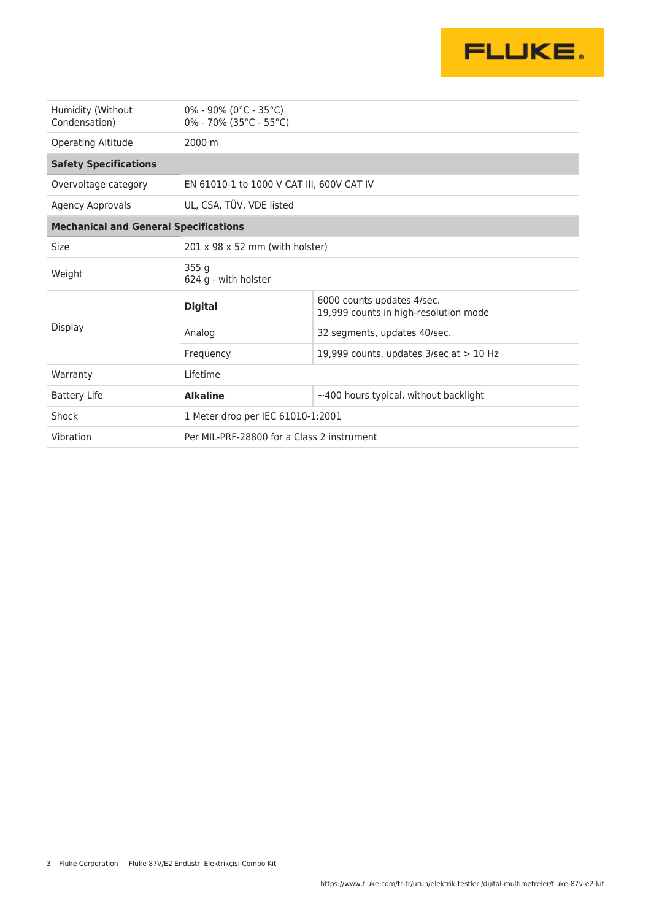

| Humidity (Without<br>Condensation)           | $0\%$ - 90% (0°C - 35°C)<br>$0\% - 70\%$ (35°C - 55°C) |                                                                     |  |  |
|----------------------------------------------|--------------------------------------------------------|---------------------------------------------------------------------|--|--|
| Operating Altitude                           | 2000 m                                                 |                                                                     |  |  |
| <b>Safety Specifications</b>                 |                                                        |                                                                     |  |  |
| Overvoltage category                         | EN 61010-1 to 1000 V CAT III, 600V CAT IV              |                                                                     |  |  |
| Agency Approvals                             | UL, CSA, TÜV, VDE listed                               |                                                                     |  |  |
| <b>Mechanical and General Specifications</b> |                                                        |                                                                     |  |  |
| Size                                         | $201 \times 98 \times 52$ mm (with holster)            |                                                                     |  |  |
| Weight                                       | 355g<br>624 g - with holster                           |                                                                     |  |  |
| Display                                      | <b>Digital</b>                                         | 6000 counts updates 4/sec.<br>19,999 counts in high-resolution mode |  |  |
|                                              | Analog                                                 | 32 segments, updates 40/sec.                                        |  |  |
|                                              | Frequency                                              | 19,999 counts, updates $3/sec$ at $> 10$ Hz                         |  |  |
| Warranty                                     | Lifetime                                               |                                                                     |  |  |
| <b>Battery Life</b>                          | <b>Alkaline</b>                                        | $\sim$ 400 hours typical, without backlight                         |  |  |
| Shock                                        | 1 Meter drop per IEC 61010-1:2001                      |                                                                     |  |  |
| Vibration                                    | Per MIL-PRF-28800 for a Class 2 instrument             |                                                                     |  |  |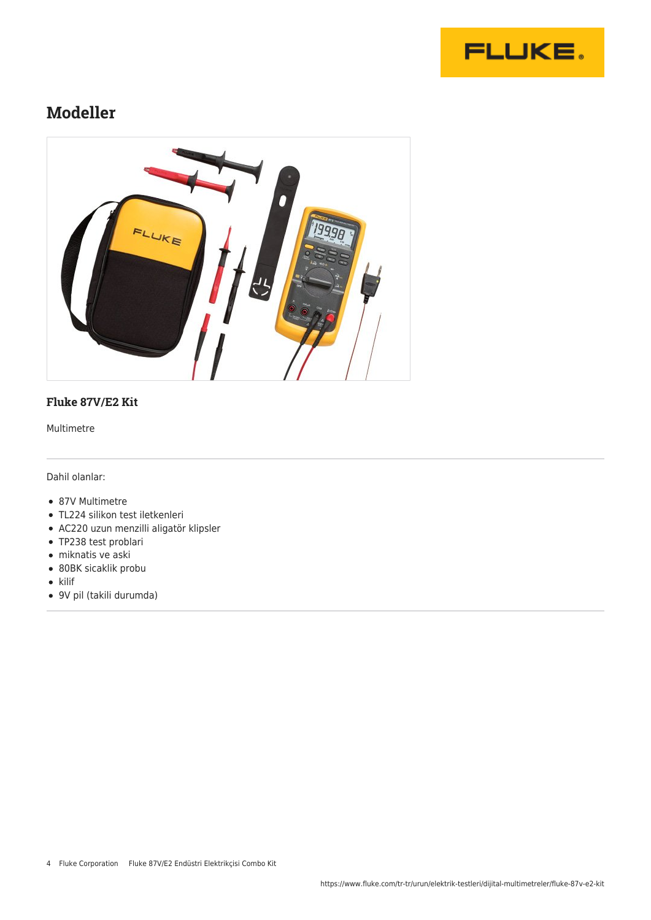

### **Modeller**



#### **Fluke 87V/E2 Kit**

Multimetre

Dahil olanlar:

- 87V Multimetre
- TL224 silikon test iletkenleri
- AC220 uzun menzilli aligatör klipsler
- TP238 test problari
- miknatis ve aski
- 80BK sicaklik probu
- $\bullet$  kilif
- 9V pil (takili durumda)